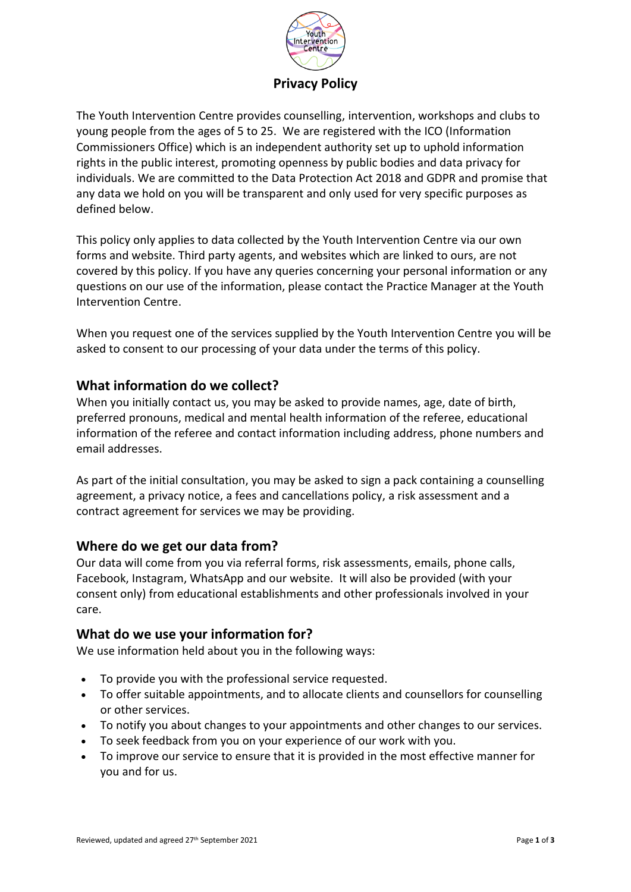

The Youth Intervention Centre provides counselling, intervention, workshops and clubs to young people from the ages of 5 to 25. We are registered with the ICO (Information Commissioners Office) which is an independent authority set up to uphold information rights in the public interest, promoting openness by public bodies and data privacy for individuals. We are committed to the Data Protection Act 2018 and GDPR and promise that any data we hold on you will be transparent and only used for very specific purposes as defined below.

This policy only applies to data collected by the Youth Intervention Centre via our own forms and website. Third party agents, and websites which are linked to ours, are not covered by this policy. If you have any queries concerning your personal information or any questions on our use of the information, please contact the Practice Manager at the Youth Intervention Centre.

When you request one of the services supplied by the Youth Intervention Centre you will be asked to consent to our processing of your data under the terms of this policy.

### **What information do we collect?**

When you initially contact us, you may be asked to provide names, age, date of birth, preferred pronouns, medical and mental health information of the referee, educational information of the referee and contact information including address, phone numbers and email addresses.

As part of the initial consultation, you may be asked to sign a pack containing a counselling agreement, a privacy notice, a fees and cancellations policy, a risk assessment and a contract agreement for services we may be providing.

#### **Where do we get our data from?**

Our data will come from you via referral forms, risk assessments, emails, phone calls, Facebook, Instagram, WhatsApp and our website. It will also be provided (with your consent only) from educational establishments and other professionals involved in your care.

#### **What do we use your information for?**

We use information held about you in the following ways:

- To provide you with the professional service requested.
- To offer suitable appointments, and to allocate clients and counsellors for counselling or other services.
- To notify you about changes to your appointments and other changes to our services.
- To seek feedback from you on your experience of our work with you.
- To improve our service to ensure that it is provided in the most effective manner for you and for us.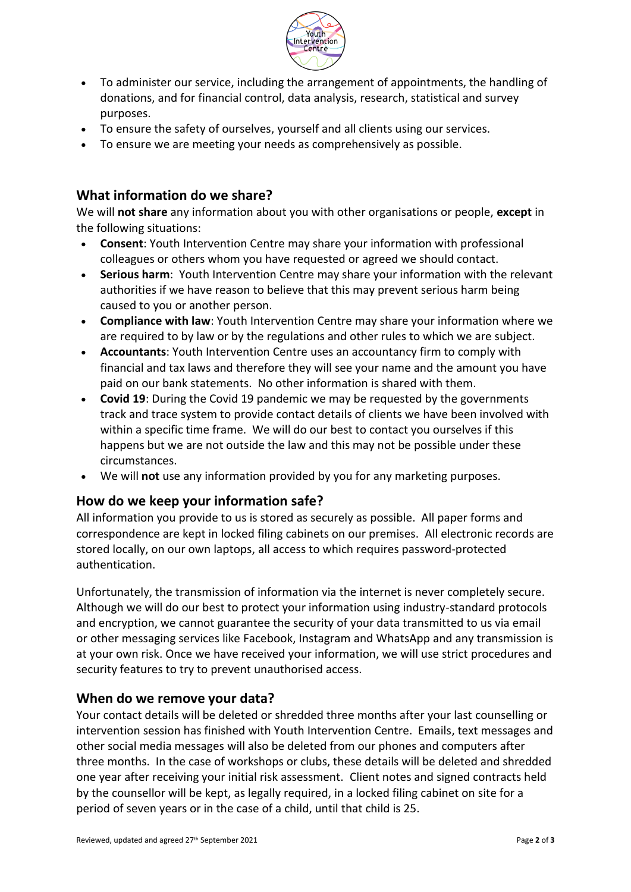

- To administer our service, including the arrangement of appointments, the handling of donations, and for financial control, data analysis, research, statistical and survey purposes.
- To ensure the safety of ourselves, yourself and all clients using our services.
- To ensure we are meeting your needs as comprehensively as possible.

## **What information do we share?**

We will **not share** any information about you with other organisations or people, **except** in the following situations:

- **Consent**: Youth Intervention Centre may share your information with professional colleagues or others whom you have requested or agreed we should contact.
- **Serious harm**: Youth Intervention Centre may share your information with the relevant authorities if we have reason to believe that this may prevent serious harm being caused to you or another person.
- **Compliance with law**: Youth Intervention Centre may share your information where we are required to by law or by the regulations and other rules to which we are subject.
- **Accountants**: Youth Intervention Centre uses an accountancy firm to comply with financial and tax laws and therefore they will see your name and the amount you have paid on our bank statements. No other information is shared with them.
- **Covid 19**: During the Covid 19 pandemic we may be requested by the governments track and trace system to provide contact details of clients we have been involved with within a specific time frame. We will do our best to contact you ourselves if this happens but we are not outside the law and this may not be possible under these circumstances.
- We will **not** use any information provided by you for any marketing purposes.

#### **How do we keep your information safe?**

All information you provide to us is stored as securely as possible. All paper forms and correspondence are kept in locked filing cabinets on our premises. All electronic records are stored locally, on our own laptops, all access to which requires password-protected authentication.

Unfortunately, the transmission of information via the internet is never completely secure. Although we will do our best to protect your information using industry-standard protocols and encryption, we cannot guarantee the security of your data transmitted to us via email or other messaging services like Facebook, Instagram and WhatsApp and any transmission is at your own risk. Once we have received your information, we will use strict procedures and security features to try to prevent unauthorised access.

#### **When do we remove your data?**

Your contact details will be deleted or shredded three months after your last counselling or intervention session has finished with Youth Intervention Centre. Emails, text messages and other social media messages will also be deleted from our phones and computers after three months. In the case of workshops or clubs, these details will be deleted and shredded one year after receiving your initial risk assessment. Client notes and signed contracts held by the counsellor will be kept, as legally required, in a locked filing cabinet on site for a period of seven years or in the case of a child, until that child is 25.